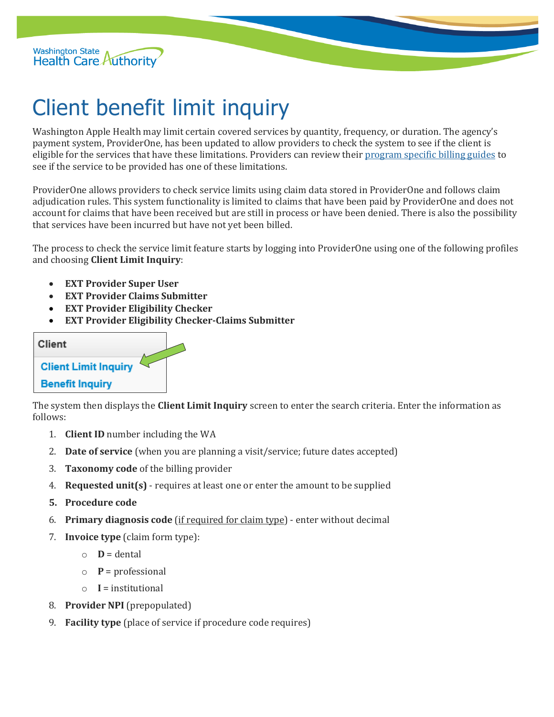

## Client benefit limit inquiry

Washington Apple Health may limit certain covered services by quantity, frequency, or duration. The agency's payment system, ProviderOne, has been updated to allow providers to check the system to see if the client is eligible for the services that have these limitations. Providers can review thei[r program specific billing guides](https://www.hca.wa.gov/billers-providers/claims-and-billing/professional-rates-and-billing-guides) to see if the service to be provided has one of these limitations.

ProviderOne allows providers to check service limits using claim data stored in ProviderOne and follows claim adjudication rules. This system functionality is limited to claims that have been paid by ProviderOne and does not account for claims that have been received but are still in process or have been denied. There is also the possibility that services have been incurred but have not yet been billed.

The process to check the service limit feature starts by logging into ProviderOne using one of the following profiles and choosing **Client Limit Inquiry**:

- **EXT Provider Super User**
- **EXT Provider Claims Submitter**
- **EXT Provider Eligibility Checker**
- **EXT Provider Eligibility Checker-Claims Submitter**

## **Client**

## **Client Limit Inquiry**

## **Benefit Inquiry**

The system then displays the **Client Limit Inquiry** screen to enter the search criteria. Enter the information as follows:

- 1. **Client ID** number including the WA
- 2. **Date of service** (when you are planning a visit/service; future dates accepted)
- 3. **Taxonomy code** of the billing provider
- 4. **Requested unit(s)** requires at least one or enter the amount to be supplied
- **5. Procedure code**
- 6. **Primary diagnosis code** (if required for claim type) enter without decimal
- 7. **Invoice type** (claim form type):
	- $\circ$  **D** = dental
	- $\circ$  **P** = professional
	- $\circ$  **I** = institutional
- 8. **Provider NPI** (prepopulated)
- 9. **Facility type** (place of service if procedure code requires)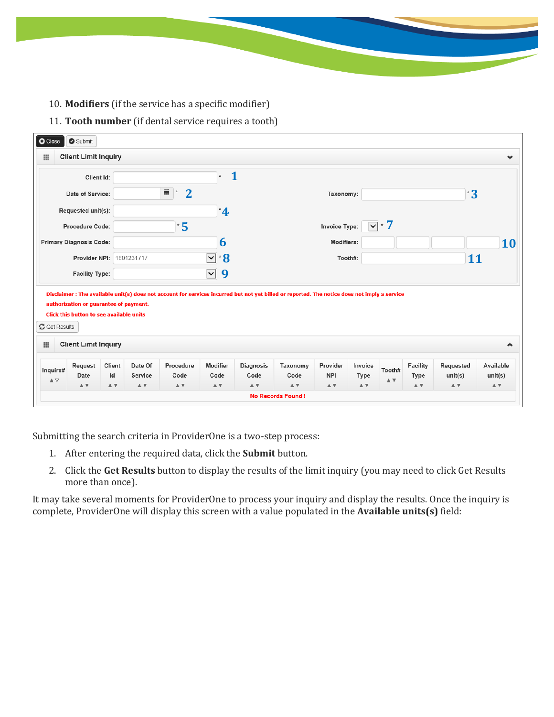- 10. **Modifiers** (if the service has a specific modifier)
- 11. **Tooth number** (if dental service requires a tooth)

| 冊                                                                              | <b>Client Limit Inquiry</b>                                                                                       |                                       |                                                   |                                                            |                                                 |                                                                    |                                                           |                                                                 |                                                                                                                                               |                                                          |                                                               |                               |
|--------------------------------------------------------------------------------|-------------------------------------------------------------------------------------------------------------------|---------------------------------------|---------------------------------------------------|------------------------------------------------------------|-------------------------------------------------|--------------------------------------------------------------------|-----------------------------------------------------------|-----------------------------------------------------------------|-----------------------------------------------------------------------------------------------------------------------------------------------|----------------------------------------------------------|---------------------------------------------------------------|-------------------------------|
|                                                                                | Client Id:                                                                                                        |                                       |                                                   |                                                            | $\mathbf{1}$<br>$\pmb{\ast}$                    |                                                                    |                                                           |                                                                 |                                                                                                                                               |                                                          |                                                               |                               |
|                                                                                | Date of Service:                                                                                                  |                                       |                                                   | 藟<br>$\overline{2}$<br>$\pmb{\ast}$                        |                                                 |                                                                    |                                                           | Taxonomy:                                                       |                                                                                                                                               |                                                          | $3^{\circ}$                                                   |                               |
|                                                                                | Requested unit(s):                                                                                                |                                       |                                                   |                                                            | $^*$ 4                                          |                                                                    |                                                           |                                                                 |                                                                                                                                               |                                                          |                                                               |                               |
|                                                                                | Procedure Code:                                                                                                   |                                       |                                                   | $\mathbf{^{\ast}5}$                                        |                                                 |                                                                    |                                                           | Invoice Type:                                                   | ⊡∗ 7                                                                                                                                          |                                                          |                                                               |                               |
|                                                                                | <b>Primary Diagnosis Code:</b>                                                                                    |                                       |                                                   |                                                            | 6                                               |                                                                    |                                                           | Modifiers:                                                      |                                                                                                                                               |                                                          |                                                               | <b>10</b>                     |
|                                                                                | Provider NPI:                                                                                                     |                                       | 1801231717                                        |                                                            | $\overline{\mathbf{v}}$<br>$\mathbf{8}$         |                                                                    |                                                           | Tooth#:                                                         |                                                                                                                                               |                                                          | 11                                                            |                               |
|                                                                                | <b>Facility Type:</b>                                                                                             |                                       |                                                   |                                                            | 9<br>$\vert$ $\vert$                            |                                                                    |                                                           |                                                                 |                                                                                                                                               |                                                          |                                                               |                               |
|                                                                                |                                                                                                                   |                                       |                                                   |                                                            |                                                 |                                                                    |                                                           |                                                                 | Disclaimer : The available unit(s) does not account for services incurred but not yet billed or reported. The notice does not imply a service |                                                          |                                                               |                               |
|                                                                                | authorization or guarantee of payment.<br>Click this button to see available units<br><b>Client Limit Inquiry</b> |                                       |                                                   |                                                            |                                                 |                                                                    |                                                           |                                                                 |                                                                                                                                               |                                                          |                                                               |                               |
| <b><i>C</i></b> Get Results<br>田<br>Inquire#<br>$\blacktriangle \triangledown$ | Request<br>Date<br>$\mathbb{A}$ $\overline{\mathbb{v}}$                                                           | Client<br>Id<br>$\triangle$ $\forall$ | Date Of<br>Service<br>$\triangle$ $\triangledown$ | Procedure<br>Code<br>$\blacktriangle$ $\blacktriangledown$ | Modifier<br>Code<br>$\mathbbm{A}$ $\mathbbm{V}$ | <b>Diagnosis</b><br>Code<br>$\mathbbm{A}$ $\overline{\mathbbm{v}}$ | Taxonomy<br>Code<br>$\blacktriangle$ $\blacktriangledown$ | Provider<br><b>NPI</b><br>$\blacktriangle$ $\blacktriangledown$ | Invoice<br>Tooth#<br>Type<br>$\blacktriangle$ $\blacktriangledown$<br>$\blacktriangle$ $\blacktriangledown$                                   | Facility<br>Type<br>$\mathbb{A}$ $\overline{\mathbb{v}}$ | Requested<br>unit(s)<br>$\blacktriangle$ $\blacktriangledown$ | Available<br>unit(s)<br>$A$ V |

Submitting the search criteria in ProviderOne is a two-step process:

- 1. After entering the required data, click the **Submit** button.
- 2. Click the **Get Results** button to display the results of the limit inquiry (you may need to click Get Results more than once).

It may take several moments for ProviderOne to process your inquiry and display the results. Once the inquiry is complete, ProviderOne will display this screen with a value populated in the **Available units(s)** field: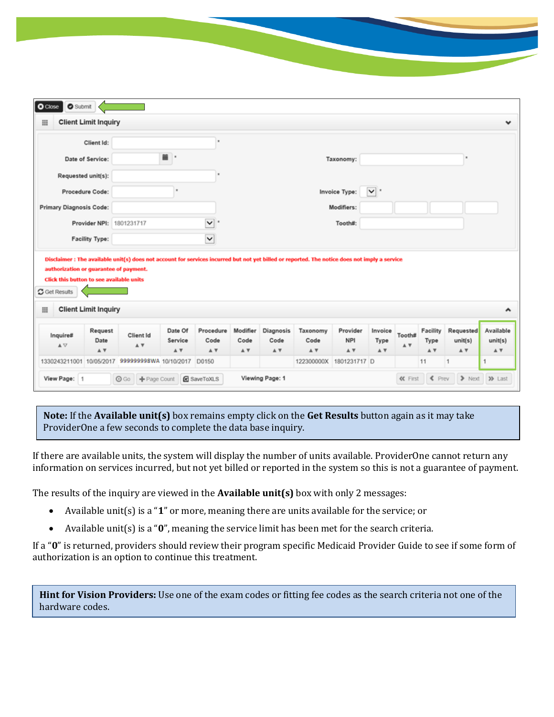|                                                                                                                                                 | Client Id:             |                                                                                                                                               |                           | ٠                              |                         |                                                  |                                                 |                               |                        |               |                                                           |                             |                             |
|-------------------------------------------------------------------------------------------------------------------------------------------------|------------------------|-----------------------------------------------------------------------------------------------------------------------------------------------|---------------------------|--------------------------------|-------------------------|--------------------------------------------------|-------------------------------------------------|-------------------------------|------------------------|---------------|-----------------------------------------------------------|-----------------------------|-----------------------------|
| Date of Service:                                                                                                                                |                        |                                                                                                                                               | 首 ·                       |                                |                         |                                                  |                                                 | Taxonomy:                     |                        |               |                                                           |                             |                             |
| Requested unit(s):                                                                                                                              |                        |                                                                                                                                               |                           |                                |                         |                                                  |                                                 |                               |                        |               |                                                           |                             |                             |
| Procedure Code:                                                                                                                                 |                        |                                                                                                                                               |                           |                                |                         |                                                  |                                                 | Invoice Type:                 | $\vee$ *               |               |                                                           |                             |                             |
| <b>Primary Diagnosis Code:</b>                                                                                                                  |                        |                                                                                                                                               |                           |                                |                         |                                                  |                                                 | Modifiers:                    |                        |               |                                                           |                             |                             |
|                                                                                                                                                 |                        |                                                                                                                                               |                           |                                |                         |                                                  |                                                 |                               |                        |               |                                                           |                             |                             |
|                                                                                                                                                 | Provider NPI:          | 1801231717                                                                                                                                    |                           | $\checkmark$<br>$\blacksquare$ |                         |                                                  |                                                 | Tooth#:                       |                        |               |                                                           |                             |                             |
|                                                                                                                                                 | <b>Facility Type:</b>  | Disclaimer : The available unit(s) does not account for services incurred but not yet billed or reported. The notice does not imply a service |                           | $\check{ }$                    |                         |                                                  |                                                 |                               |                        |               |                                                           |                             |                             |
| <b>Client Limit Inquiry</b>                                                                                                                     |                        |                                                                                                                                               |                           |                                |                         |                                                  |                                                 |                               |                        |               |                                                           |                             |                             |
| authorization or guarantee of payment.<br><b>Click this button to see available units</b><br><b>C</b> Get Results<br>田<br><b>Inquire#</b><br>AV | Request<br>Date<br>A V | Client Id<br>A V                                                                                                                              | Date Of<br>Service<br>A W | Procedure<br>Code<br>A V       | Modifier<br>Code<br>A V | Diagnosis<br>Code<br>$\mathbbm{A}$ $\mathbbm{V}$ | Taxonomy<br>Code<br>$\mathbbm{A}$ $\mathbbm{V}$ | Provider<br><b>NPI</b><br>A V | Invoice<br>Type<br>A W | Tooth#<br>A V | Facility<br>Type<br>$\blacktriangle$ $\blacktriangledown$ | Requested<br>unit(s)<br>A V | Available<br>unit(s)<br>A V |

**Note:** If the **Available unit(s)** box remains empty click on the **Get Results** button again as it may take ProviderOne a few seconds to complete the data base inquiry.

If there are available units, the system will display the number of units available. ProviderOne cannot return any information on services incurred, but not yet billed or reported in the system so this is not a guarantee of payment.

The results of the inquiry are viewed in the **Available unit(s)** box with only 2 messages:

- Available unit(s) is a "**1**" or more, meaning there are units available for the service; or
- Available unit(s) is a "**0**", meaning the service limit has been met for the search criteria.

If a "**0**" is returned, providers should review their program specific Medicaid Provider Guide to see if some form of authorization is an option to continue this treatment.

**Hint for Vision Providers:** Use one of the exam codes or fitting fee codes as the search criteria not one of the hardware codes.